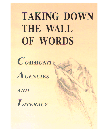# TAKING DOWN THE WALL OF WORDS





**AND** 

LITERACY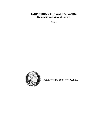#### **TAKING DOWN THE WALL OF WORDS Community Agencies and Literacy**

Part 1



John Howard Society of Canada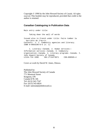Copyright © 1990 by the John Howard Society of Canada. All rights reserved. This booklet may be reproduced, provided that credit to the author is retained.

#### **Canadian Cataloguing in Publication Data**

Main entry under title: Taking down the wall of words Issued also in French under title: Faire tomber la barrière de l\*écrit. Contents: v. 1. Community agencies and literacy. ISBN 0—9693196—6—5 (v. 1) 1. Literacy-—Canada. 2. Human services—— Information services-—Canada. 3. Community organization—-Canada. 4. Literacy programs--Canada. I. John Howard Society of Canada LC154.T34 1990 302.2\*244\*0971 C90—090565—4

Cover art work by David W. Jones, Ottawa.

Published by: The John Howard Society of Canada 771 Montreal Street Kingston, ON Canada K7K 3J6 Tel: (613) 542-7547 Fax: (613) 542-6824 E-mail: national@johnhoward.ca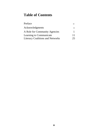# **Table of Contents**

| Preface                                 | iv            |
|-----------------------------------------|---------------|
| <b>Acknowledgments</b>                  | $\mathbf{vi}$ |
| A Role for Community Agencies           |               |
| Learning to Communicate                 | 11            |
| <b>Literacy Coalitions and Networks</b> | 25            |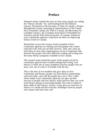#### **Preface**

Nineteen-ninety marked the start of what many people are calling the "literacy decade." So, with funding from the National Literacy Secretariat of the Secretary of State of Canada, a Project Management Group consisting of representatives of the United Way-Centraide Canada, the YMCA Canada, the Movement for Canadian Literacy, the Canadian Association of Elizabeth Fry Societies and the John Howard Society of Canada, looked for ways community agencies could have an effect on improving literacy levels in Canada.

Researchers across the country found examples of how community agencies are making sure that people who cannot read and write well can use their services. They also came up with ideas on how these organizations can be an important link between the people who have difficulty reading and writing and the many literacy programs available across Canada.

The research team found that many of the people served by community agencies have trouble reading and writing. Low literacy is often one of many problems faced by people who are poor, sick, out of a job or in trouble with the law.

This is the first of two booklets that give ideas on how community and literacy groups can form literacy partnerships with each other, and with the people they serve. Part 1 talks about simple ways community agencies can open up their services to people with low literacy skills and how they can work with literacy groups to encourage people who want to improve these skills to take literacy courses. It also gives an overview of literacy in Canada and the everyday challenges faced by people who cannot read and write well.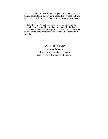Part 2 is filled with ideas on how organizations which want to make a commitment to providing accessible services and who want literacy referrals to be part of their everyday work can do so.

On behalf of the Project Management Committee and the research team, I would like to thank the many individuals and groups who told us of their experiences so that these booklets could contribute to improving literacy and understanding in Canada.

> James M. MacLatchie Executive Director John Howard Society of Canada Chair, Project Management Group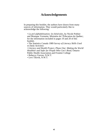#### **Acknowledgements**

In preparing this booklet, the authors have drawn from many sources of information. They would particularly like to acknowledge the following:

*• La pré-alphabétisation; les bénévoles,* by Nicole Pothier and Monique Vermette; Ministére de l\*Éducation du Québec; for the information included in pages 19 and 20 of this booklet.

• The Statistics Canada 1989 *Survey of Literacy Skills Used in Daily Activities*

*• Literacy and Health Project, Phase One: Making the World Healthier and Safer for People Who Can\*t Read,* Ontario Public Health Association and Frontier College

• Rebecca Veevee, N.W.T.

• Levi Tikivik, N.W.T.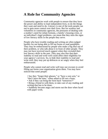# **A Role for Community Agencies**

Community agencies work with people to ensure that they have the power and ability to lead independent lives, to do the things they want and need to do. Literacy is one of the tools people can use to gain more control over their lives. But for workers and volunteers in community agencies, the pressures of dealing with a mother's need for infant formula, a family's housing crisis, or an individual's legal problems, can mean that they miss the signs of low literacy skills in the people they serve.

People who have trouble reading and writing are often judged harshly for not being able to fill out forms or read pamphlets. They may be embarrassed by people who make a big deal out of their problem, or who talk about it in front of other people. They may not have received much support when they revealed their low literacy skills in the past. They may also fear that their inability to read and write well could affect their eligibility for your agency\*s services. So, to hide their inability to read and write well, they may put up defences or act angry when they feel embarrassed.

People who cannot read and write well may use excuses to avoid filling out forms your organization gives them. You may have noticed that some people:

- Say they "forgot their glasses," or "have a sore arm," or
- "don't have the time," when asked to fill out a form;
- Ask if they can bring the form back "tomorrow?"
- Bring a friend in with them, to take care of any reading and writing that has to be done;

• Suddenly become angry and storm out the door when faced with paper work;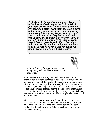*"I\*d like to help my kids sometimes. They bring lots of books they wrote in English. I put them on the table I didn\*t read it The kids cry because I didn\*t read their book. So I have to learn to read and write so I can help with homework It breaks my heart because I can\*t read. I tell them I\*m sorry kids I can\*t help you It hurts me so much almost every day I\*m sorry I\*m going to adult ed to learn to read. Now I feel so great It looks I\*m a brand new lady One day my teacher said you know how to read so feel so happy I said my tongue is not a rock any more, my heart is open."*



• Don't show up for appointments, even though they need your services and seem interested.

An individual's low literacy may be behind these actions. Your organization\*s literacy demands can put up walls between your services and some of the people who need and want to use them. Wordy posters in an organization's reception area, for example, can be a signal that people need to be able to read and write well to use your services. If that's not the message your organization wants to give people, you may want to use the ideas in this book to make your services more accessible to people who cannot read and write well.

When you do notice signs of low literacy in people you serve, you may want to let them know about literacy programs in your area. This book will also help you and the person who cannot read and write well to work together to deal with some of the barriers to learning.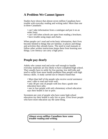## **A Problem We Cannot Ignore**

Studies have shown that almost seven million Canadians have trouble with everyday reading and writing tasks! More than one in three Canadians:

- can't take information from a catalogue and put it on an order form;
- can't tell when schools are open from reading a brochure;
- have trouble using maps and charts.

When people can't read and write basic information, their lives become limited to things that are familiar, to places and things and activities they already know. The need to read manuals or follow other written instructions keeps them from learning new things. Low literacy can carry a high price.

#### **People pay dearly**

Adults who cannot read and write well enough to handle everyday materials are less likely to have completed high school. They usually have to settle for low-paying, low skill jobs and tend to suffer from more health problems than people with high literacy skills. A study carried out in Ontario found that:

- More than half of the people who receive social assistance aren't able to read and write well:
- only 40 per cent of people with less than a grade nine education have jobs;
- one in four people with only elementary school education says their health is fair or poor.

Seventeen per cent of people who have some high school education say their health is only fair or poor. Even fewer people who have more education say the same thing.

*Almost seven million Canadians have some trouble reading and writing.*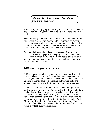*Illiteracy is estimated to cost Canadians \$10 billion each year.*

Poor health, a low-paying job, or no job at all, are high prices to pay for not finishing school or not being able to read and write well.

There are many other hardships and limitations people with low literacy skills face. They may wish to save money by buying generic grocery products, but not be able to read the labels. They may buy a more expensive product because the picture on the label tells them exactly what's inside the box or can.

Product labeling can be a dangerous problem. Products as different as a cooking spray and a spray pesticide can have labels that look very much alike. And medicine bottle labels are often so confusing that people cannot tell how much medicine they should give their children.

#### **Different Degrees of Literacy**

All Canadians face a big challenge in improving our levels of literacy. There is no magic dividing line between people who have high or low literacy skills. Almost all Canadians who speak English or French have some reading and writing skills and we all have some troubles with literacy. It is a matter of degree.

A person who works in ajob that doesn't demand high literacy skills may be able to get along quite well with a limited ability to read and write. But if the person's job changes, or if the job disappears and the person has to try to find a new one, low literacy can become a problem. The books used in job training courses may be too difficult for that individual to handle. And filling out job application forms may be intimidating. The questions may be badly worded and hard to understand and the forms may look overly complicated.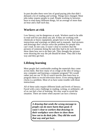In past decades there were lots of good-paying jobs that didn't demand a lot of reading and writing. Things have changed. Most jobs today require people to read. People working in factories have to read many different things, for an average of more than an hour and a half each day.

#### **Workers at risk**

Low literacy can be dangerous at work. Workers need to be able to read well for just about any job. If they are working with chemicals or heavy equipment, people have to be able to read instructions and warnings on labels and in manuals. And pictures and drawings don't always solve the problem for people who can't read. In one case, it wasn't clear to workers that the pictures of someone doing the task they had to do were there to show them how not to do their job. They thought the pictures were showing the way the job should be done. They did it that way and they got hurt.

# **Lifelong learning**

Most people feel comfortable reading the materials they come across daily. But how many of us cringe at the idea of using a new computer and learning a computer program? We would rather just use our VCRs to watch movies than learn how to program them to record television shows. Even setting digital clocks is a problem. Most of us have some trouble with those instructions.

All of these tasks require different kinds and levels of literacy. Faced with a new challenge in reading, writing, or arithmetic, all of us can feel a fear of learning. We may want to avoid the situation. There are times when anyone can face a literacy

> *A drawing that sends the wrong message to people can do more harm than good. It wasn\*t clear to workers that drawings in their workplace were there to show them how not to do their jobs. They did the work that way and got hurt.*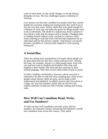crisis of some kind. As the world changes, so do the literacy demands we face. The new challenges require a lifetime of learning.

Low literacy can become a problem for people when they cannot handle the everyday reading and writing tasks they need to do to live the way they want. literacy skills that were good enough for a lifetime of work may not make the grade for things people want to do in retirement. The death of a spouse may force a person to face literacy tasks that the spouse used to handle. Changing jobs, or finding oneself without a job, can lead to a literacy crisis, where learning to read and write well becomes important for an individual and for that person's family. And literacy can slowly become a problem as a person feels trapped in a low-paying, boring job.

#### **A Social Bias**

There are closely-knit communities in Canada where people can be open about the fact that they cannot read and write. Among the Inuit, for example, literacy is a skill people share. Inuit who can read and write in English and Inuktitut offer help with English to their friends who have had less exposure to their second language. They then receive other kinds of help in return.

In other Canadian communities, however, where everyone is expected to be able to read and write anything they come across, people whose literacy skills are poor can be made to feel embarrassed and ashamed. An elderly person who lives alone in a large city may feel isolated, afraid, and cut off from life, without someone to help out with everyday reading and writing tasks.

## **How Well Can Canadians Read, Write, and Use Numbers?**

To find out how well Canadians can read, write, and use numbers, the National Literacy Secretariat had Statistics Canada test Canadians from across the country. They asked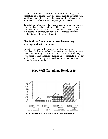people to read things such as ads from the Yellow Pages and school letters to parents. They also asked them to do things such as fill out a bank deposit slip, find a certain kind of apartment in a group of classified ads and compare grocery labels.

To get along in Canada today, people have to be able to do most of the kinds of reading, writing, and basic math that this test measured. Statistics Canada found that most Canadians, about two people out of three, can handle most of these everyday reading tasks. A lot of people can't.

#### **One in three Canadians has trouble reading, writing, and using numbers**

In fact, 38 per cent of the people, more than one in three Canadians, had some trouble. They were able to do only some of the reading, writing, and arithmetic, or none at all. When they were asked to read a medicine label or a pool schedule, figure out a telephone bill, or find the groceries they wanted in a store ad, many Canadians couldn't.

#### **How Well Canadians Read, 1989**



**Source: Survey of Literacy Skills Used in Daily Activities, Statistics Canada**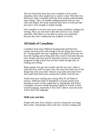The test found that more than one Canadian in five avoids situations where they might have to read or write. With their low skill level, these Canadians find they have trouble understanding many things. They can handle reading materials that are very clear and simple, but many materials they have to read each day just aren't clear enough or simple enough.

One Canadian in six has even more serious problems reading and writing. They can only find words they know in very simple materials. Still others are not able to read at all, sometimes because they don't understand any English or French.

#### **All kinds of Canadians**

Canadians from many different backgrounds find that they cannot read and write well enough to do the things they want to do. Young people who don\*t graduate from high school may not have the reading and writing skills they need to find jobs that pay well. People who took special education classes or vocational programs in high school may not have spent enough time on reading and writing.

Many people who get into trouble with the law aren't able to read and write well. In some cases, this may have been one of the things that took away their chances to get jobs and create lives that could keep them from coming into conflict with the law.

Adults have poor reading and writing skills for all kinds of reasons. Different kinds of disabilities can keep people from learning as much as they might like to. Immigrants and Native Canadians can have trouble learning English or French as their second language, especially if they aren't able to read and write well in their first language.

#### **Skills you can lose**

People who have been without a job for a long time can forget these skills. And people whose jobs don\*t involve reading and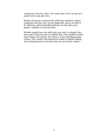writing may discover, after a few years, that it isn't as easy as it used to be to read and write.

People who haven't practiced the skills they learned in school sometimes find they can't do the things they used to be able to do. Mental or physical health problems can also take away people\*s abilities to read and write.

Whether people have lost skills they once had, or whether they never got to learn because as children they were shuffled around foster homes and schools, low literacy is not something people choose. They usually find themselves unable to handle reading and writing because of situations that are out of their control.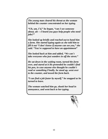*The young man cleared his throat as the woman behind the counter concentrated on her typing.*

*"Uh, um, I\*d," he began, "can I see someone about, uh —I heard you guys help people who need jobs?"*

*She looked up briefly and reached out to hand him a form. She started typing again as she told him to fill it out "I don\*t know if anyone can see you," she said. "You\*re supposed to have an appointment"*

*She looked back at him and added, "We can\*t take everyone who just wanders in off the street."*

*He sat down in the waiting room, turned the form over, and stared at it He pretended he couldn\*t find his pen, in case anyone else thought he couldn\*t read or something Finally, he stood up, went over to the counter, and tossed the form back.*

*"l can find a job faster by myself," he snapped as he turned to leave.*

*The woman watched him go, shook her head in annoyance, and went back to her typing.*

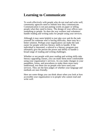# **Learning to Communicate**

To work effectively with people who do not read and write well, community agencies need to rethink how they communicate. Communication is not just putting words on paper or telling people what they need to know. The design of your offices says something to people. So does the way workers and volunteers handle reading and writing tasks for people using your services.

Although it may seem helpful to just take over and do the task yourself for someone who is having difficulty, there may be a better solution. Perhaps your organization can make the task easier for people with low literacy skills to handle. If the individual is interested, a referral to a literacy program may ultimately give the person the power and ability to handle a broad range of reading and writing challenges.

Whether or not people with poor reading and writing skills take literacy upgrading classes, you can make them more comfortable using your organization's services. As you make changes in your pamphlets, forms, and procedures to make them more easiy understood, test them out on people who have used your services. They are the best judges of whether your language and methods are user-friendly.

Here are some things you can think about when you look at how accessible your organization is to people who cannot read and write well.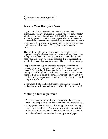*Literacy is an enabling skill.*

#### **Look at Your Reception Area**

If you couldn't read or write, how would you see your organization when you walked in? Would you feel comfortable? Would you notice bulletin boards filled with letters and memos and wordy posters? Are forms and papers piled up in baskets on the front desk? Does everyone seem to be too busy to talk quietly with you? Is there a waiting area right next to the spot where you might have to tell someone, "Sorry, I don't understand this form..."

The first impression your agency makes on people is very important. People who can't read and write well may have taken a long time to decide to come to your office, even though they need your help. They've taken a first step. But if the reception area looks threatening, people who need help may leave anyway.

People might make up an excuse to get angry when they're handed a form to fill out, saying, "Hey, I don't need this kind of hassle!" Perhaps they'll leave quietly, taking the form and saying, "Can I bring this back tomorrow?" They're going to get a friend to help them fill in the form. Maybe that's okay. But they may have really needed your help today. The service you provide is important, after all.

What would it take to change things so that people who can't read and write well may feel more comfortable in your agency?

#### **Making a first impression**

- Place the chairs in the waiting area away from the reception desk. Give people a little privacy when they first approach you.
- Put up posters and art work with strong pictures and drawings, simple words and ideas. Take down the ones that are just lists of the steps to be followed or the rules you live by. Watch out for bulletin boards crammed with wordy pieces of paper.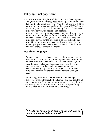#### **Put people, not paper, first**

- Put the forms out of sight. And don't just hand them to people along with a pen. Ask if they need your help, and do it in a way that won't embarrass them. Try, "Would you like me to fill that out with you, or would you prefer to do it yourself?" Make the easier idea, the one that takes the literacy burden off the person using your service, the first one you mention.
- Make the forms as simple as you can. One organization had to train its staff to complete its forms. It finally realized that, if their staff needed training, they couldn\*t really expect people using their service for the first time to be able to handle the form. Get some people who have used your services for some time to give you a hand. Have them comment on the form as you make changes to make it simpler.

#### **Use clear language**

• Pamphlets and sheets of paper that describe what your agency does are, of course, very important to people who want to use your services. Some pamphlets are very well designed, with clear drawings and simple language. Others use the same language that the workers and volunteers use among themselves every day. That's good for you, but will people using your services for the first time understand what you mean?

A literacy organization or a writer can often help you put together information that is short and simple and that gets the job done better for you. Test out your new pamphlet on people who have already used your services. Ask them to tell you if they think it's clear, or if the information is confusing.

*"Would you like me to fill that form out with you, or would you prefer to do it yourself?"*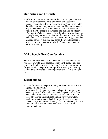#### **One picture can be worth..**.

- Videos cost more than pamphlets, but if your agency has the money, or if it already has a camcorder and uses videos, consider making one for the reception area People who watch the video can see how your service works. They don't have to rely on pamphlets or staff members to get the information.
- Posters may be cheaper than videos and can also be effective. With an artist's help, you can show drawings of what happens as people use your services. Test out the drawings with people who have used your services to make sure the images get your message across. A drawing that sends the wrong message to people, or one that people simply don\*t understand, can do more harm than good.

### **Make People Feel Comfortable**

Think about what happens to a person who uses your services. Are there ways to make someone with poor literacy skills feel more comfortable each step of the way? Are there opportunities for you to tell if the person has a problem reading and writing? Do you take advantage of these opportunities? Here's how you can.

## **Listen and talk**

- Listen for clues as the person tells you about the issue that your agency will help with.
- Make sure that the person understands any instructions you have to give. Ask if it is all clear. Ask the person what their next step will be, to make sure they know. Don't rely on a piece of paper or a pamphlet to explain how your system works, or to get someone back for a meeting. Give people a calendar page and a small drawing of a clock showing the time and date of the person's next visit, instead of a written appointment slip.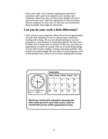• Train your staff. Call a literacy organization and ask if someone could come by to speak to your workers and volunteers about how they can best serve people who don\*t read and write well. Take the opportunity to find out about literacy programs in your area, so that you can recommend them to people who might be interested.

#### **Can you do your work a little differently?**

• Take a look at your programs. Many have lots of opportunities for staff and volunteers to see if a person has a hard time reading and writing. Do you ask people joining in on your programs to read manuals or instruction sheets? Do they have to make lists or keep track of money? If they do, you have an opportunity to watch for people who try to avoid doing things in ways that involve reading, writing, and using numbers. But maybe you could change the way parts of your programs work so that people won't have to do so much reading and writing...



Hand out cards with calendars showing the date of the person's next visit, and a clock to remind the person of the appointment time.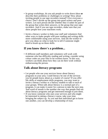- In group workshops, do you ask people to write down ideas **or** describe their problems or challenges in writing? How about inviting people to use tape recorders instead? Give everyone a choice. Don\*t divide up the group into good writers and poor writers. Let each person decide whether they'd rather be part of the group that writes their answers, or the group that uses tape recorders. And if you use tape recorders, make sure that you show people how your machines work.
- Invite a literacy worker to help your staff and volunteers find other ways to make people with poor reading and writing skills more comfortable using your services. And ask the worker to give you ideas on what to look for to tell if someone might need to brush up on these skills.

#### **If you know there**\***s a problem...**

• If different staff members and volunteers will work with someone who has difficulty reading and writing, consider using colour codes on your files to let workers know. In this way, workers can think about how they can do their work without embarrassing the person.

#### **Talk about literacy programs**

- Let people who use your services know about literacy programs in your area. Could literacy be one of the services you let people know about as a matter of course? If you offer life skills or employment skills programs, you may want to invite a literacy worker or a literacy student to talk to each of your groups. When talk about literacy is a normal part of a program, it can make it easier for a person to take the next step. And word of mouth is the number one way that people find out about literacy programs and get interested enough to join them.
- If you know someone who uses your services and who might be interested in taking a literacy course, take your time bringing the subject up. As you and that individual get to know one another, you can develop a relationship of trust.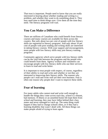That trust is important. People need to know that you are really interested in hearing about whether reading and writing is a problem, and whether they want to do something about it. They may need time to think things over. Give them all the time they need. The literacy programs will wait.

#### **You Can Make a Difference**

There are millions of Canadians who could benefit from literacy courses and many courses are available for them across the country. But only about two per cent of people with low literacy skills are registered in literacy programs. And only about 10 per cent of people with poor reading and writing skills are interested in taking literacy courses. With your support and encouragement, more people with low literacy skills may join literacy training programs.

Community agencies which serve people with low literacy skills can be the vital link between the programs and the people who could benefit from them. Agency workers and volunteers can encourage people with low literacy skills who use their services to learn to read and write better.

It is important to treat people with respect, of course, regardless of their ability to read and write and whether or not they are interested in improving their literacy skills. The reasons why people can\*t read and write well are their own business. Fear is often one reason why people don't want to improve these skills.

#### **Fear of learning**

For many adults who cannot read and write well enough to handle the things they come across each day, school is a distant, bad memory. If illness or an unsettled home life kept them from school and learning, they may have fallen behind their class mates and never managed to catch up. The same thing could happen if they had to change schools often, or if they had a learning disability that wasn't dealt with. All these things can make people afraid of trying to learn again.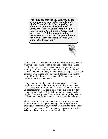*"The kids are growing up. You gotta be the best you can for your kids I got a daughter She\*s 20 months old. I have a feeling my daughter\*s gonna need help with her homework And I'm gonna want to help her But I'm gonna be ashamed if I have to tell her I can\*t do it I don\*t want to tell her I never went to school. But I\*m gonna have to tell her It\*ll help her to stay in school, you know what I\*m saying."*



Anyone can learn. People with learning disabilities may need to follow special courses to make best use of their skills. Older people may need and want to take more time for each step of learning. Workers may want to study the kinds of books and manuals that they are likely to have to use on the job. And people generally want to read and write things that are of interest to them, things they know and understand. Literacy courses can deal with these different needs.

People want to learn for many different reasons. For young people, work may be the most important thing in their lives. Parents may want to improve their skills to help their children. Ex-offenders may want better literacy to build lives that don't include crime. Quality of life is important for many elderly people. They finally have the time to do the things they want to do. Reading and writing can help them accomplish their goals.

When you get to know someone who uses your services and know that the person's poor reading and writing skills are causing problems for them, you may want to bring up the idea of taking a literacy course. When you do, emphasize the positive. Talk about how much the person has already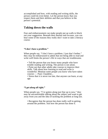accomplished and how, with reading and writing skills, the person could do even better. Let the person know that you respect them and their abilities and that you believe in the person\*s potential.

#### **Taking down the walls**

Fear and embarrassment can make people put up walls to block out your suggestion. Beneath their denials and excuses, you can hear some of the reasons they really don't want to take a literacy course.

#### *"I don\*t have a problem."*

When people say, "I don't have a problem. I just don't bother." they may be embarrassed to admit that not being able to read and write well limits the person's life in ways that are troublesome.

• Tell the person that you know many people who have trouble reading and writing. The person is not alone.

• Point out that other adults take courses to improve their skills. Talk about how learning to read and write is wonderful. Mention some people you know who have taken courses — Paul, Claudette...

• Stress that it is never too late, that anyone can learn, at any age.

#### *"I get along all right."*

When people say, "I've gotten along just fine up to now," they may be uncomfortable talking about the subject and want to get away from you and the idea of tackling the problem at long last.

• Recognize that the person has done really well in getting around the problem. Ask how the person has done it.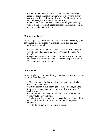• Mention that there are lots of different kinds of courses around. People can learn on their own if they want, or they can work with a small group of people. And literacy courses deal with subjects that are really interesting.

• Ask if there are any times when not reading and writing well is a real problem. Suggest that the person could learn to read and write just for that reason.

#### *"I\*ll never go back."*

When people say, "You'll never get me back into a school," you can be sure that the person remembers school and that the memories are not good.

• Talk about those memories. Ask what schools the person went to and what happened there. What are the person's fears?

• Explain that things are different for adults learning to read and write. It's all very relaxed. They treat people like adults. You have a say in what you learn.

#### *"It\*s too late."*

When people say, "I'm too old to go to school," it is important to deal with their concern.

• Give examples of other people the person's age who have taken literacy courses.

• Get the person to talk about goals, plans, dreams, and the things the person could do if reading and writing weren\*t such a problem.

• Point out how the person's life, perhaps their retirement years, would be even better.

• Find out whether the person has recently learned something new. Talk about that experience. Find out if the person enjoyed it.

• Invite the person to try, to take a chance.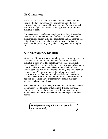## **No Guarantees**

Not everyone you encourage to take a literacy course will do so. People who have developed self-confidence and who are motivated may be interested in new learning. Others, who feel less secure, might take the step if the right kind of program is available to them.

For someone who has been unemployed for a long time and who feels cut off from other people, your concern may make the difference. If a person lacks self-confidence and has reached the point of really not caring about anything, your efforts may not work. But the person may be glad to know you cared enough to try.

#### **A literacy agency can help**

When you talk to someone about taking literacy training, you can work with them to look into the kinds of courses that are available in your area. The first thing you can do is contact a literacy coalition or network if there is one near you. Many major cities have literacy networks and coalitions which link the various agencies that provide literacy training, and so do each of the provinces. With one phone call to a literacy network or coalition, you can find out about all the different courses the person can choose from in your community. If there is no literacy network or coalition in your community, contact a literacy agency or school board directly.

Some communities offer many different kinds of literacy courses. Community-based literacy organizations, literacy councils, libraries and other social service and voluntary agencies, teach adults to read and write. So do community colleges and school boards.

> *Start by contacting a literacy program in your community.*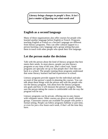*Literacy brings changes in people\*s lives. It isn\*t just a matter of figuring out what words and*

#### **English as a second language**

Many of these organizations also offer courses for people who learned another language before English or French. Programs teaching English or French as a Second Language are different from literacy programs. They can offer cultural support to a person learning a new language and a group setting that puts them in touch with other people who speak their first language.

### **Let the person make the decision**

Talk with the person about the kind of literacy program that best meets their needs. In most places, people can join literacy programs at any time of the year, after a short wait. Some programs are specially set up so that people don\*t feel they are back in a school. The people running those programs understand that some literacy learners had bad experiences in school.

Literacy programs provide support for the individual and take account of that person's needs in planning the courses. You can talk about these things with the person and with the people who run the literacy program. Ask about how the literacy program sets goals and how it will measure the person's progress. Make sure the person taking the course is comfortable with the way the program will be run.

Literacy programs can be private, offering one-to-one classes with volunteer tutors. Other courses are given in small, informal groups. Classroom courses are available for people who prefer a formal setting. People can follow programs fulltime or part-time, or even for just a few hours each week, if that's all the time they have.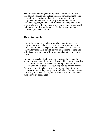The literacy upgrading course a person chooses should match that person's special interests and needs. Some programs offer counselling support as well as literacy training. Others put people in touch with other people who share similar problems or goals, so they can offer each other support. Along with teaching people how to read and write, some programs offer training in other life skills, such as finding a job, running a household, or raising children.

#### **Keep in touch**

Even if the person who takes your advice and joins a literacy program doesn\*t need the service your agency provides any more, keep in touch. The person may need to talk to someone who understands them as well as you do. Learning to read and write is not just a matter of figuring out what letters and words mean.

Literacy brings changes to people's lives. As the person thinks about getting a new job, becomes frustrated because the learning process seems slow, or decides that finding a new literacy teacher would be a good idea, your help can be very important. As the person's life changes, you can be somebody they can count on, someone they can go back and talk to. It may not take much of your time or energy, but it can mean a lot to someone facing new life challenges.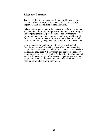## **Literacy Partners**

Today, people are more aware of literacy problems than ever before. Different kinds of groups have joined in the effort to improve Canadians' abilities to read and write.

Labour unions, governments, businesses, schools, social service agencies and community groups are all playing a part in bringing literacy programs to the people who need and want them. Community agencies can encourage people who might benefit from literacy training to enrol in the programs that are available, but there will always be people who cannot read and write well.

Until we succeed in making low literacy less widespread in Canada, we can work at making it less of an issue, something people don\*t have to be ashamed of. Everyone deserves access to the services they need. When workers and the people they serve communicate well, we all benefit. We hope that this booklet and Part 2 will make your job a little easier. Together, you and the people you serve can help take down the wall of words that can keep us from understanding each other.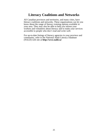# **Literacy Coalitions and Networks**

All Canadian provinces and territories, and many cities, have literacy coalitions and networks. These organizations can let you know about the range of literacy training options available in your area. They may also be able to help you inform your workers and volunteers about literacy and to make your services accessible to people who don't read and write well.

For up-to-date listings of literacy agencies in your province and community, refer to the National Adult Literacy Database (NALD) web site at **http://www.nald.ca/**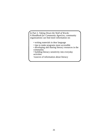In Part 2, *Taking Down the Wall of Words: A Handbook for Community Agencies,* community organizations can find more information on:

- writing materials in dear language
- tips to make programs more accessible
- developing and sharing literacy resources in the community
- building literacy sensitivity into everyday activities

•sources of information about literacy